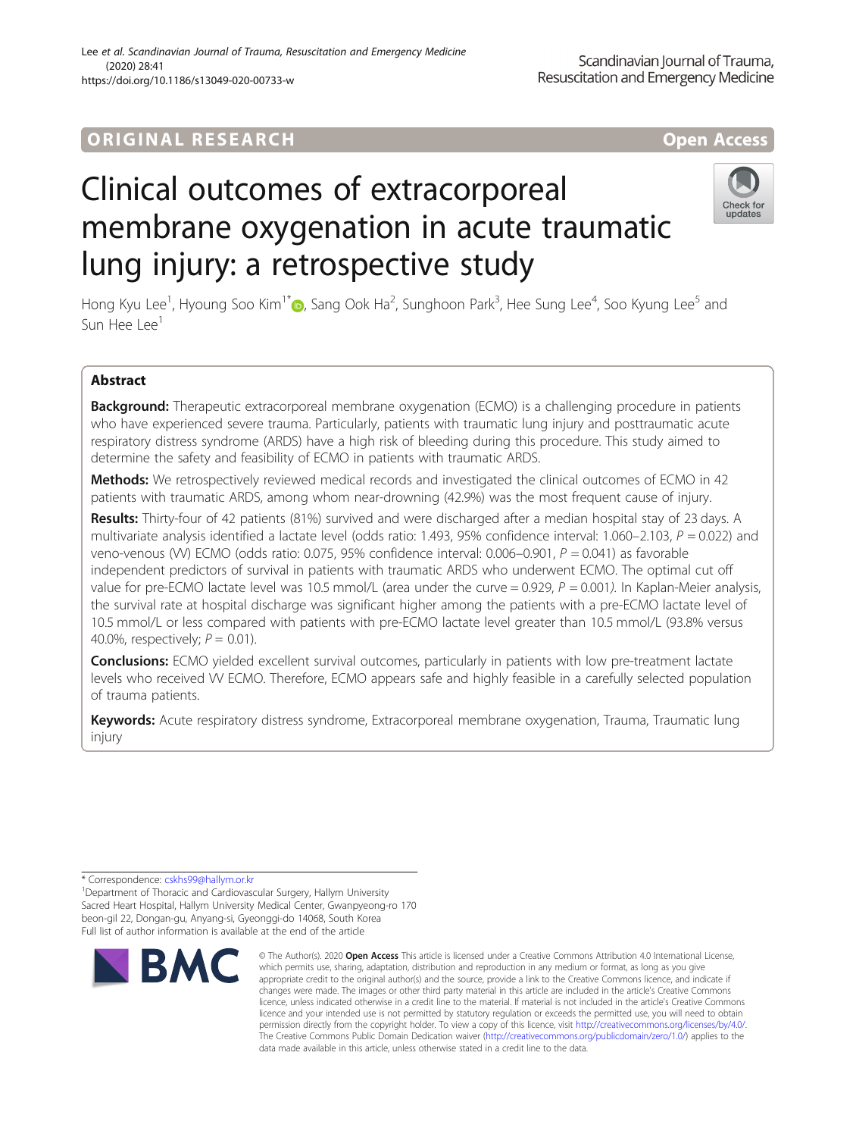## ORIGINA L R E S EA RCH Open Access

# Clinical outcomes of extracorporeal membrane oxygenation in acute traumatic lung injury: a retrospective study

Hong Kyu Lee<sup>1</sup>[,](http://orcid.org/0000-0001-6023-0818) Hyoung Soo Kim<sup>1\*</sup>®, Sang Ook Ha<sup>2</sup>, Sunghoon Park<sup>3</sup>, Hee Sung Lee<sup>4</sup>, Soo Kyung Lee<sup>5</sup> and Sun Hee Lee<sup>1</sup>

## Abstract

**Background:** Therapeutic extracorporeal membrane oxygenation (ECMO) is a challenging procedure in patients who have experienced severe trauma. Particularly, patients with traumatic lung injury and posttraumatic acute respiratory distress syndrome (ARDS) have a high risk of bleeding during this procedure. This study aimed to determine the safety and feasibility of ECMO in patients with traumatic ARDS.

Methods: We retrospectively reviewed medical records and investigated the clinical outcomes of ECMO in 42 patients with traumatic ARDS, among whom near-drowning (42.9%) was the most frequent cause of injury.

Results: Thirty-four of 42 patients (81%) survived and were discharged after a median hospital stay of 23 days. A multivariate analysis identified a lactate level (odds ratio: 1.493, 95% confidence interval: 1.060–2.103,  $P = 0.022$ ) and veno-venous (VV) ECMO (odds ratio: 0.075, 95% confidence interval: 0.006–0.901,  $P = 0.041$ ) as favorable independent predictors of survival in patients with traumatic ARDS who underwent ECMO. The optimal cut off value for pre-ECMO lactate level was 10.5 mmol/L (area under the curve = 0.929,  $P = 0.001$ ). In Kaplan-Meier analysis, the survival rate at hospital discharge was significant higher among the patients with a pre-ECMO lactate level of 10.5 mmol/L or less compared with patients with pre-ECMO lactate level greater than 10.5 mmol/L (93.8% versus 40.0%, respectively;  $P = 0.01$ ).

**Conclusions:** ECMO yielded excellent survival outcomes, particularly in patients with low pre-treatment lactate levels who received VV ECMO. Therefore, ECMO appears safe and highly feasible in a carefully selected population of trauma patients.

Keywords: Acute respiratory distress syndrome, Extracorporeal membrane oxygenation, Trauma, Traumatic lung injury

\* Correspondence: [cskhs99@hallym.or.kr](mailto:cskhs99@hallym.or.kr) <sup>1</sup>

<sup>1</sup>Department of Thoracic and Cardiovascular Surgery, Hallym University Sacred Heart Hospital, Hallym University Medical Center, Gwanpyeong-ro 170

beon-gil 22, Dongan-gu, Anyang-si, Gyeonggi-do 14068, South Korea Full list of author information is available at the end of the article



<sup>©</sup> The Author(s), 2020 **Open Access** This article is licensed under a Creative Commons Attribution 4.0 International License, which permits use, sharing, adaptation, distribution and reproduction in any medium or format, as long as you give appropriate credit to the original author(s) and the source, provide a link to the Creative Commons licence, and indicate if changes were made. The images or other third party material in this article are included in the article's Creative Commons licence, unless indicated otherwise in a credit line to the material. If material is not included in the article's Creative Commons licence and your intended use is not permitted by statutory regulation or exceeds the permitted use, you will need to obtain permission directly from the copyright holder. To view a copy of this licence, visit [http://creativecommons.org/licenses/by/4.0/.](http://creativecommons.org/licenses/by/4.0/) The Creative Commons Public Domain Dedication waiver [\(http://creativecommons.org/publicdomain/zero/1.0/](http://creativecommons.org/publicdomain/zero/1.0/)) applies to the data made available in this article, unless otherwise stated in a credit line to the data.

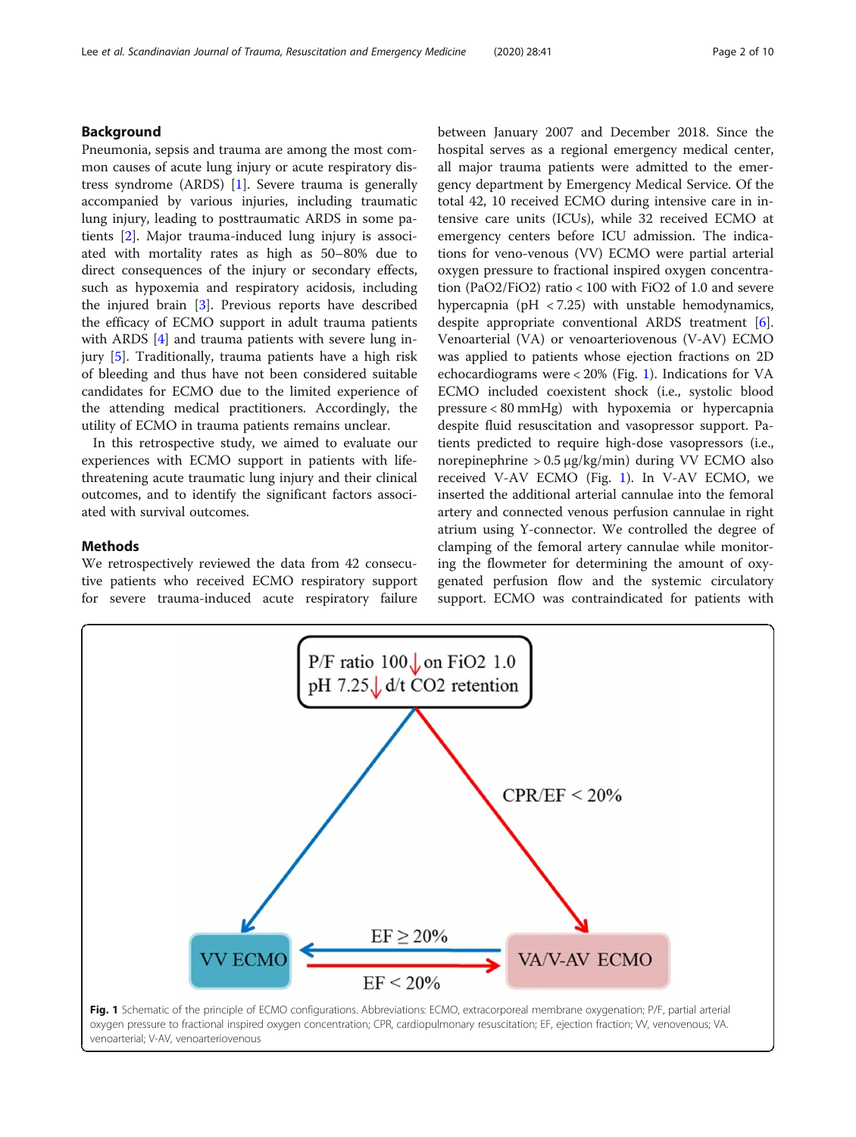## Lee et al. Scandinavian Journal of Trauma, Resuscitation and Emergency Medicine (2020) 28:41 Page 2 of 10

## Background

Pneumonia, sepsis and trauma are among the most common causes of acute lung injury or acute respiratory distress syndrome (ARDS) [[1\]](#page-9-0). Severe trauma is generally accompanied by various injuries, including traumatic lung injury, leading to posttraumatic ARDS in some patients [[2\]](#page-9-0). Major trauma-induced lung injury is associated with mortality rates as high as 50–80% due to direct consequences of the injury or secondary effects, such as hypoxemia and respiratory acidosis, including the injured brain [\[3](#page-9-0)]. Previous reports have described the efficacy of ECMO support in adult trauma patients with ARDS [[4\]](#page-9-0) and trauma patients with severe lung injury [[5\]](#page-9-0). Traditionally, trauma patients have a high risk of bleeding and thus have not been considered suitable candidates for ECMO due to the limited experience of the attending medical practitioners. Accordingly, the utility of ECMO in trauma patients remains unclear.

In this retrospective study, we aimed to evaluate our experiences with ECMO support in patients with lifethreatening acute traumatic lung injury and their clinical outcomes, and to identify the significant factors associated with survival outcomes.

## Methods

We retrospectively reviewed the data from 42 consecutive patients who received ECMO respiratory support for severe trauma-induced acute respiratory failure between January 2007 and December 2018. Since the hospital serves as a regional emergency medical center, all major trauma patients were admitted to the emergency department by Emergency Medical Service. Of the total 42, 10 received ECMO during intensive care in intensive care units (ICUs), while 32 received ECMO at emergency centers before ICU admission. The indications for veno-venous (VV) ECMO were partial arterial oxygen pressure to fractional inspired oxygen concentration (PaO2/FiO2) ratio < 100 with FiO2 of 1.0 and severe hypercapnia (pH < 7.25) with unstable hemodynamics, despite appropriate conventional ARDS treatment [\[6](#page-9-0)]. Venoarterial (VA) or venoarteriovenous (V-AV) ECMO was applied to patients whose ejection fractions on 2D echocardiograms were < 20% (Fig. 1). Indications for VA ECMO included coexistent shock (i.e., systolic blood pressure < 80 mmHg) with hypoxemia or hypercapnia despite fluid resuscitation and vasopressor support. Patients predicted to require high-dose vasopressors (i.e., norepinephrine > 0.5 μg/kg/min) during VV ECMO also received V-AV ECMO (Fig. 1). In V-AV ECMO, we inserted the additional arterial cannulae into the femoral artery and connected venous perfusion cannulae in right atrium using Y-connector. We controlled the degree of clamping of the femoral artery cannulae while monitoring the flowmeter for determining the amount of oxygenated perfusion flow and the systemic circulatory support. ECMO was contraindicated for patients with

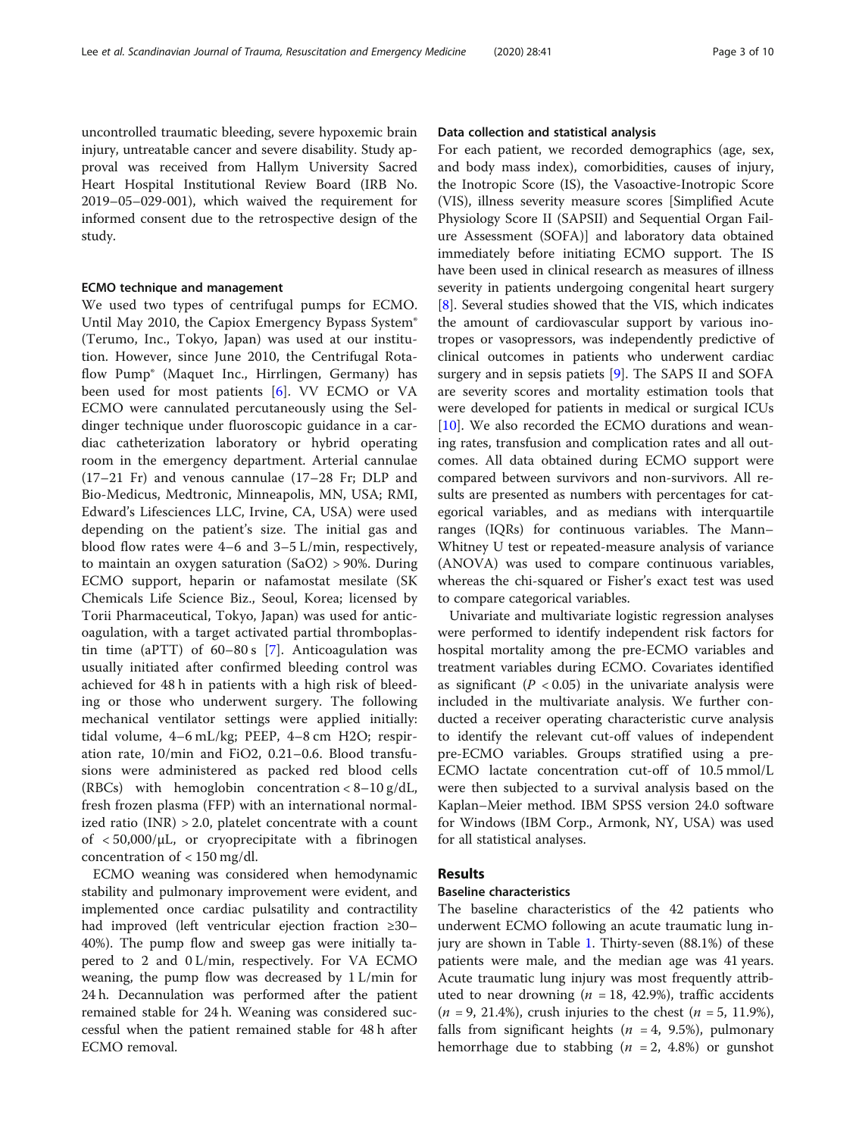uncontrolled traumatic bleeding, severe hypoxemic brain injury, untreatable cancer and severe disability. Study approval was received from Hallym University Sacred Heart Hospital Institutional Review Board (IRB No. 2019–05–029-001), which waived the requirement for informed consent due to the retrospective design of the study.

## ECMO technique and management

We used two types of centrifugal pumps for ECMO. Until May 2010, the Capiox Emergency Bypass System® (Terumo, Inc., Tokyo, Japan) was used at our institution. However, since June 2010, the Centrifugal Rotaflow Pump® (Maquet Inc., Hirrlingen, Germany) has been used for most patients [[6](#page-9-0)]. VV ECMO or VA ECMO were cannulated percutaneously using the Seldinger technique under fluoroscopic guidance in a cardiac catheterization laboratory or hybrid operating room in the emergency department. Arterial cannulae (17–21 Fr) and venous cannulae (17–28 Fr; DLP and Bio-Medicus, Medtronic, Minneapolis, MN, USA; RMI, Edward's Lifesciences LLC, Irvine, CA, USA) were used depending on the patient's size. The initial gas and blood flow rates were 4–6 and 3–5 L/min, respectively, to maintain an oxygen saturation (SaO2) > 90%. During ECMO support, heparin or nafamostat mesilate (SK Chemicals Life Science Biz., Seoul, Korea; licensed by Torii Pharmaceutical, Tokyo, Japan) was used for anticoagulation, with a target activated partial thromboplastin time (aPTT) of 60–80 s [\[7](#page-9-0)]. Anticoagulation was usually initiated after confirmed bleeding control was achieved for 48 h in patients with a high risk of bleeding or those who underwent surgery. The following mechanical ventilator settings were applied initially: tidal volume, 4–6 mL/kg; PEEP, 4–8 cm H2O; respiration rate, 10/min and FiO2, 0.21–0.6. Blood transfusions were administered as packed red blood cells (RBCs) with hemoglobin concentration  $< 8-10 \text{ g/dL}$ , fresh frozen plasma (FFP) with an international normalized ratio  $(INR) > 2.0$ , platelet concentrate with a count of  $< 50,000/\mu L$ , or cryoprecipitate with a fibrinogen concentration of < 150 mg/dl.

ECMO weaning was considered when hemodynamic stability and pulmonary improvement were evident, and implemented once cardiac pulsatility and contractility had improved (left ventricular ejection fraction ≥30– 40%). The pump flow and sweep gas were initially tapered to 2 and 0 L/min, respectively. For VA ECMO weaning, the pump flow was decreased by 1 L/min for 24 h. Decannulation was performed after the patient remained stable for 24 h. Weaning was considered successful when the patient remained stable for 48 h after ECMO removal.

## Data collection and statistical analysis

For each patient, we recorded demographics (age, sex, and body mass index), comorbidities, causes of injury, the Inotropic Score (IS), the Vasoactive-Inotropic Score (VIS), illness severity measure scores [Simplified Acute Physiology Score II (SAPSII) and Sequential Organ Failure Assessment (SOFA)] and laboratory data obtained immediately before initiating ECMO support. The IS have been used in clinical research as measures of illness severity in patients undergoing congenital heart surgery [[8\]](#page-9-0). Several studies showed that the VIS, which indicates the amount of cardiovascular support by various inotropes or vasopressors, was independently predictive of clinical outcomes in patients who underwent cardiac surgery and in sepsis patiets  $[9]$  $[9]$ . The SAPS II and SOFA are severity scores and mortality estimation tools that were developed for patients in medical or surgical ICUs [[10\]](#page-9-0). We also recorded the ECMO durations and weaning rates, transfusion and complication rates and all outcomes. All data obtained during ECMO support were compared between survivors and non-survivors. All results are presented as numbers with percentages for categorical variables, and as medians with interquartile ranges (IQRs) for continuous variables. The Mann– Whitney U test or repeated-measure analysis of variance (ANOVA) was used to compare continuous variables, whereas the chi-squared or Fisher's exact test was used to compare categorical variables.

Univariate and multivariate logistic regression analyses were performed to identify independent risk factors for hospital mortality among the pre-ECMO variables and treatment variables during ECMO. Covariates identified as significant ( $P < 0.05$ ) in the univariate analysis were included in the multivariate analysis. We further conducted a receiver operating characteristic curve analysis to identify the relevant cut-off values of independent pre-ECMO variables. Groups stratified using a pre-ECMO lactate concentration cut-off of 10.5 mmol/L were then subjected to a survival analysis based on the Kaplan–Meier method. IBM SPSS version 24.0 software for Windows (IBM Corp., Armonk, NY, USA) was used for all statistical analyses.

## **Results**

## Baseline characteristics

The baseline characteristics of the 42 patients who underwent ECMO following an acute traumatic lung injury are shown in Table [1](#page-3-0). Thirty-seven (88.1%) of these patients were male, and the median age was 41 years. Acute traumatic lung injury was most frequently attributed to near drowning ( $n = 18, 42.9\%)$ , traffic accidents  $(n = 9, 21.4\%)$ , crush injuries to the chest  $(n = 5, 11.9\%)$ , falls from significant heights ( $n = 4$ , 9.5%), pulmonary hemorrhage due to stabbing ( $n = 2$ , 4.8%) or gunshot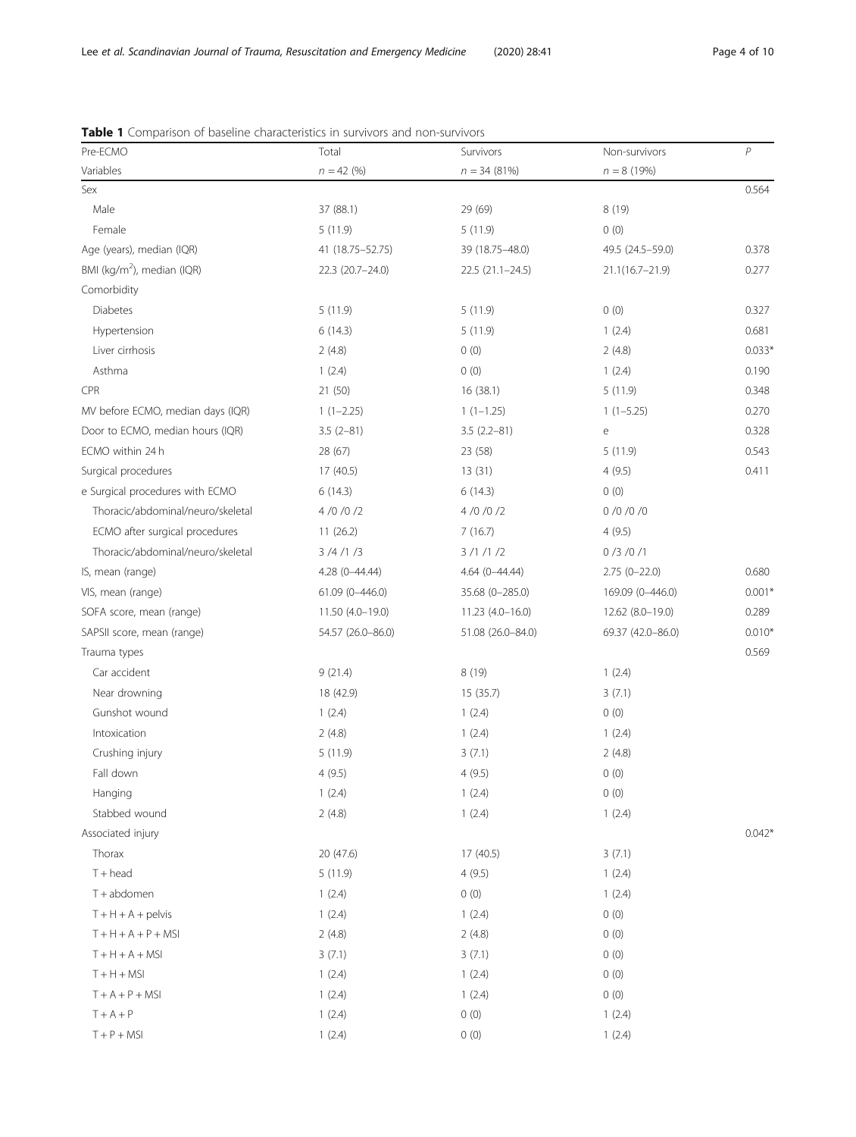| Pre-ECMO                               | Total              | Survivors         | Non-survivors                              | P        |
|----------------------------------------|--------------------|-------------------|--------------------------------------------|----------|
| Variables                              | $n = 42$ (%)       | $n = 34 (81%)$    | $n = 8(19%)$                               |          |
| Sex                                    |                    |                   |                                            | 0.564    |
| Male                                   | 37 (88.1)          | 29 (69)           | 8 (19)                                     |          |
| Female                                 | 5(11.9)            | 5(11.9)           | 0(0)                                       |          |
| Age (years), median (IQR)              | 41 (18.75 - 52.75) | 39 (18.75 - 48.0) | 49.5 (24.5-59.0)                           | 0.378    |
| BMI (kg/m <sup>2</sup> ), median (IQR) | 22.3 (20.7-24.0)   | $22.5(21.1-24.5)$ | $21.1(16.7 - 21.9)$                        | 0.277    |
| Comorbidity                            |                    |                   |                                            |          |
| <b>Diabetes</b>                        | 5(11.9)            | 5(11.9)           | 0(0)                                       | 0.327    |
| Hypertension                           | 6(14.3)            | 5(11.9)           | 1(2.4)                                     | 0.681    |
| Liver cirrhosis                        | 2(4.8)             | 0(0)              | 2(4.8)                                     | $0.033*$ |
| Asthma                                 | 1(2.4)             | 0(0)              | 1(2.4)                                     | 0.190    |
| CPR                                    | 21 (50)            | 16(38.1)          | 5(11.9)                                    | 0.348    |
| MV before ECMO, median days (IQR)      | $1(1-2.25)$        | $1(1-1.25)$       | $1(1-5.25)$                                | 0.270    |
| Door to ECMO, median hours (IQR)       | $3.5(2-81)$        | $3.5(2.2 - 81)$   | $\mathsf{e}% _{0}\left( \mathsf{e}\right)$ | 0.328    |
| ECMO within 24 h                       | 28 (67)            | 23 (58)           | 5(11.9)                                    | 0.543    |
| Surgical procedures                    | 17 (40.5)          | 13(31)            | 4(9.5)                                     | 0.411    |
| e Surgical procedures with ECMO        | 6(14.3)            | 6(14.3)           | 0(0)                                       |          |
| Thoracic/abdominal/neuro/skeletal      | 4/0/0/2            | 4/0/0/2           | 0/0/0/0                                    |          |
| ECMO after surgical procedures         | 11(26.2)           | 7(16.7)           | 4(9.5)                                     |          |
| Thoracic/abdominal/neuro/skeletal      | 3/4/1/3            | 3/1/1/2           | 0/3/0/1                                    |          |
| IS, mean (range)                       | 4.28 (0-44.44)     | $4.64(0 - 44.44)$ | $2.75(0-22.0)$                             | 0.680    |
| VIS, mean (range)                      | $61.09(0 - 446.0)$ | 35.68 (0-285.0)   | 169.09 (0-446.0)                           | $0.001*$ |
| SOFA score, mean (range)               | 11.50 (4.0-19.0)   | $11.23(4.0-16.0)$ | 12.62 (8.0-19.0)                           | 0.289    |
| SAPSII score, mean (range)             | 54.57 (26.0-86.0)  | 51.08 (26.0-84.0) | 69.37 (42.0-86.0)                          | $0.010*$ |
| Trauma types                           |                    |                   |                                            | 0.569    |
| Car accident                           | 9(21.4)            | 8(19)             | 1(2.4)                                     |          |
| Near drowning                          | 18 (42.9)          | 15(35.7)          | 3(7.1)                                     |          |
| Gunshot wound                          | 1(2.4)             | 1(2.4)            | 0(0)                                       |          |
| Intoxication                           | 2(4.8)             | 1(2.4)            | 1(2.4)                                     |          |
| Crushing injury                        | 5(11.9)            | 3(7.1)            | 2(4.8)                                     |          |
| Fall down                              | 4(9.5)             | 4(9.5)            | 0(0)                                       |          |
| Hanging                                | 1(2.4)             | 1(2.4)            | 0(0)                                       |          |
| Stabbed wound                          | 2(4.8)             | 1(2.4)            | 1(2.4)                                     |          |
| Associated injury                      |                    |                   |                                            | $0.042*$ |
| Thorax                                 | 20 (47.6)          | 17(40.5)          | 3(7.1)                                     |          |
| $T + head$                             | 5(11.9)            | 4(9.5)            | 1(2.4)                                     |          |
| T + abdomen                            | 1(2.4)             | 0(0)              | 1(2.4)                                     |          |
| $T + H + A +$ pelvis                   | 1(2.4)             | 1(2.4)            | 0(0)                                       |          |
| $T + H + A + P + MSI$                  | 2(4.8)             | 2(4.8)            | 0(0)                                       |          |
| $T + H + A + MSI$                      | 3(7.1)             | 3(7.1)            | 0(0)                                       |          |
| $T + H + MSI$                          | 1(2.4)             | 1(2.4)            | 0(0)                                       |          |
| $T + A + P + MSI$                      | 1(2.4)             | 1(2.4)            | 0(0)                                       |          |
| $T + A + P$                            | 1(2.4)             | 0(0)              | 1(2.4)                                     |          |
| $T + P + MSI$                          | 1(2.4)             | 0(0)              | 1(2.4)                                     |          |
|                                        |                    |                   |                                            |          |

<span id="page-3-0"></span>

|  |  | <b>Table 1</b> Comparison of baseline characteristics in survivors and non-survivors |
|--|--|--------------------------------------------------------------------------------------|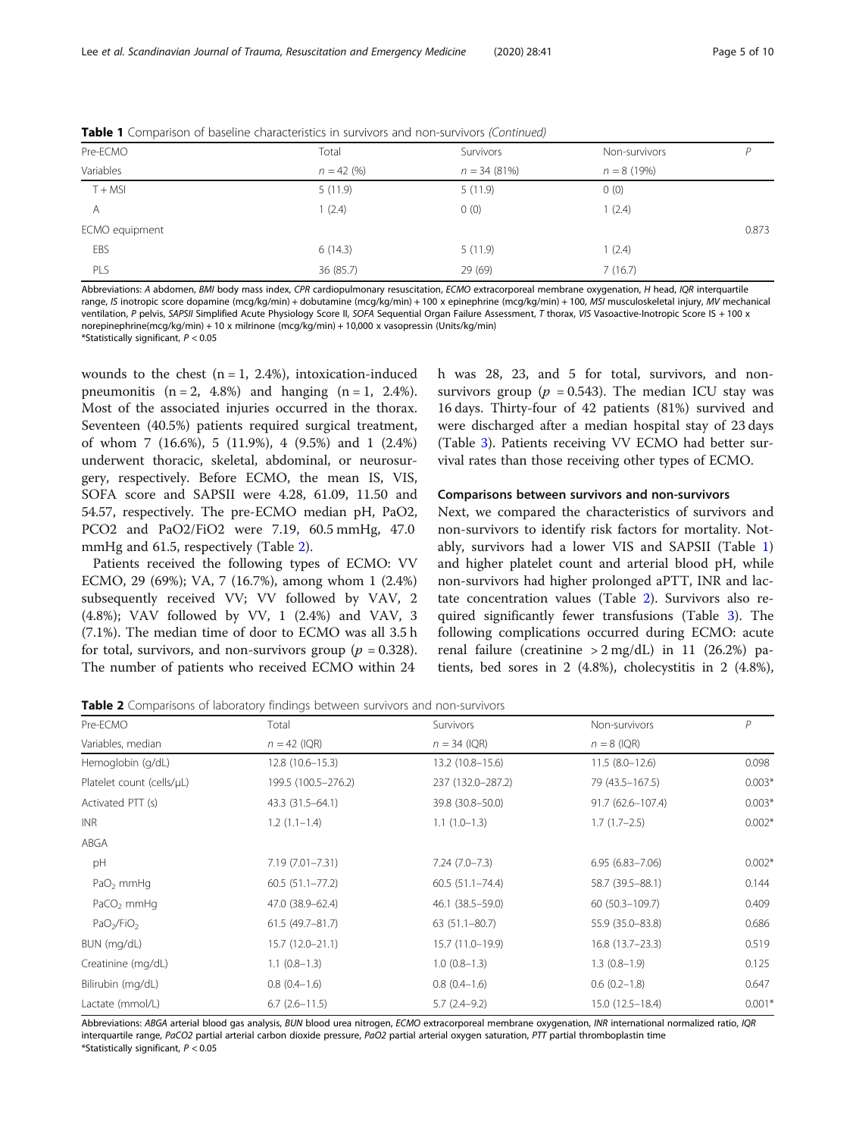| Pre-ECMO       | Total        | Survivors      | Non-survivors | D     |
|----------------|--------------|----------------|---------------|-------|
| Variables      | $n = 42 (%)$ | $n = 34(81\%)$ | $n = 8(19%)$  |       |
| $T + MSI$      | 5(11.9)      | 5(11.9)        | 0(0)          |       |
| A              | 1(2.4)       | 0(0)           | (2.4)         |       |
| ECMO equipment |              |                |               | 0.873 |
| EBS            | 6(14.3)      | 5(11.9)        | (2.4)         |       |
| PLS            | 36 (85.7)    | 29 (69)        | 7(16.7)       |       |
|                |              |                |               |       |

**Table 1** Comparison of baseline characteristics in survivors and non-survivors (Continued)

Abbreviations: A abdomen, BMI body mass index, CPR cardiopulmonary resuscitation, ECMO extracorporeal membrane oxygenation, H head, IQR interquartile range, IS inotropic score dopamine (mcg/kg/min) + dobutamine (mcg/kg/min) + 100 x epinephrine (mcg/kg/min) + 100, MSI musculoskeletal injury, MV mechanical ventilation, P pelvis, SAPSII Simplified Acute Physiology Score II, SOFA Sequential Organ Failure Assessment, T thorax, VIS Vasoactive-Inotropic Score IS + 100 x norepinephrine(mcg/kg/min) + 10 x milrinone (mcg/kg/min) + 10,000 x vasopressin (Units/kg/min)

\*Statistically significant,  $P < 0.05$ 

wounds to the chest  $(n = 1, 2.4\%)$ , intoxication-induced pneumonitis  $(n = 2, 4.8\%)$  and hanging  $(n = 1, 2.4\%).$ Most of the associated injuries occurred in the thorax. Seventeen (40.5%) patients required surgical treatment, of whom 7 (16.6%), 5 (11.9%), 4 (9.5%) and 1 (2.4%) underwent thoracic, skeletal, abdominal, or neurosurgery, respectively. Before ECMO, the mean IS, VIS, SOFA score and SAPSII were 4.28, 61.09, 11.50 and 54.57, respectively. The pre-ECMO median pH, PaO2, PCO2 and PaO2/FiO2 were 7.19, 60.5 mmHg, 47.0 mmHg and 61.5, respectively (Table 2).

Patients received the following types of ECMO: VV ECMO, 29 (69%); VA, 7 (16.7%), among whom 1 (2.4%) subsequently received VV; VV followed by VAV, 2 (4.8%); VAV followed by VV, 1 (2.4%) and VAV, 3 (7.1%). The median time of door to ECMO was all 3.5 h for total, survivors, and non-survivors group ( $p = 0.328$ ). The number of patients who received ECMO within 24

h was 28, 23, and 5 for total, survivors, and nonsurvivors group ( $p = 0.543$ ). The median ICU stay was 16 days. Thirty-four of 42 patients (81%) survived and were discharged after a median hospital stay of 23 days (Table [3\)](#page-5-0). Patients receiving VV ECMO had better survival rates than those receiving other types of ECMO.

## Comparisons between survivors and non-survivors

Next, we compared the characteristics of survivors and non-survivors to identify risk factors for mortality. Notably, survivors had a lower VIS and SAPSII (Table [1](#page-3-0)) and higher platelet count and arterial blood pH, while non-survivors had higher prolonged aPTT, INR and lactate concentration values (Table 2). Survivors also required significantly fewer transfusions (Table [3](#page-5-0)). The following complications occurred during ECMO: acute renal failure (creatinine  $> 2$  mg/dL) in 11 (26.2%) patients, bed sores in 2 (4.8%), cholecystitis in 2 (4.8%),

Table 2 Comparisons of laboratory findings between survivors and non-survivors

| Pre-ECMO                           | Total               | Survivors           | Non-survivors       | P        |
|------------------------------------|---------------------|---------------------|---------------------|----------|
| Variables, median                  | $n = 42$ (IQR)      | $n = 34$ (IQR)      | $n = 8$ (IQR)       |          |
| Hemoglobin (g/dL)                  | 12.8 (10.6-15.3)    | 13.2 (10.8-15.6)    | $11.5(8.0-12.6)$    | 0.098    |
| Platelet count (cells/µL)          | 199.5 (100.5-276.2) | 237 (132.0-287.2)   | 79 (43.5 - 167.5)   | $0.003*$ |
| Activated PTT (s)                  | 43.3 (31.5–64.1)    | 39.8 (30.8-50.0)    | 91.7 (62.6-107.4)   | $0.003*$ |
| <b>INR</b>                         | $1.2(1.1-1.4)$      | $1.1(1.0-1.3)$      | $1.7(1.7-2.5)$      | $0.002*$ |
| ABGA                               |                     |                     |                     |          |
| pH                                 | 7.19 (7.01–7.31)    | $7.24(7.0 - 7.3)$   | $6.95(6.83 - 7.06)$ | $0.002*$ |
| PaO <sub>2</sub> mmHq              | $60.5(51.1 - 77.2)$ | $60.5(51.1 - 74.4)$ | 58.7 (39.5-88.1)    | 0.144    |
| PaCO <sub>2</sub> mmHq             | 47.0 (38.9-62.4)    | 46.1 (38.5 - 59.0)  | 60 (50.3-109.7)     | 0.409    |
| PaO <sub>2</sub> /FiO <sub>2</sub> | $61.5(49.7 - 81.7)$ | $63(51.1 - 80.7)$   | 55.9 (35.0-83.8)    | 0.686    |
| BUN (mg/dL)                        | $15.7(12.0 - 21.1)$ | 15.7 (11.0–19.9)    | $16.8(13.7-23.3)$   | 0.519    |
| Creatinine (mg/dL)                 | $1.1(0.8-1.3)$      | $1.0(0.8-1.3)$      | $1.3(0.8-1.9)$      | 0.125    |
| Bilirubin (mg/dL)                  | $0.8(0.4-1.6)$      | $0.8(0.4-1.6)$      | $0.6(0.2-1.8)$      | 0.647    |
| Lactate (mmol/L)                   | $6.7(2.6 - 11.5)$   | $5.7(2.4-9.2)$      | 15.0 (12.5-18.4)    | $0.001*$ |

Abbreviations: ABGA arterial blood gas analysis, BUN blood urea nitrogen, ECMO extracorporeal membrane oxygenation, INR international normalized ratio, IQR interquartile range, PaCO2 partial arterial carbon dioxide pressure, PaO2 partial arterial oxygen saturation, PTT partial thromboplastin time \*Statistically significant,  $P < 0.05$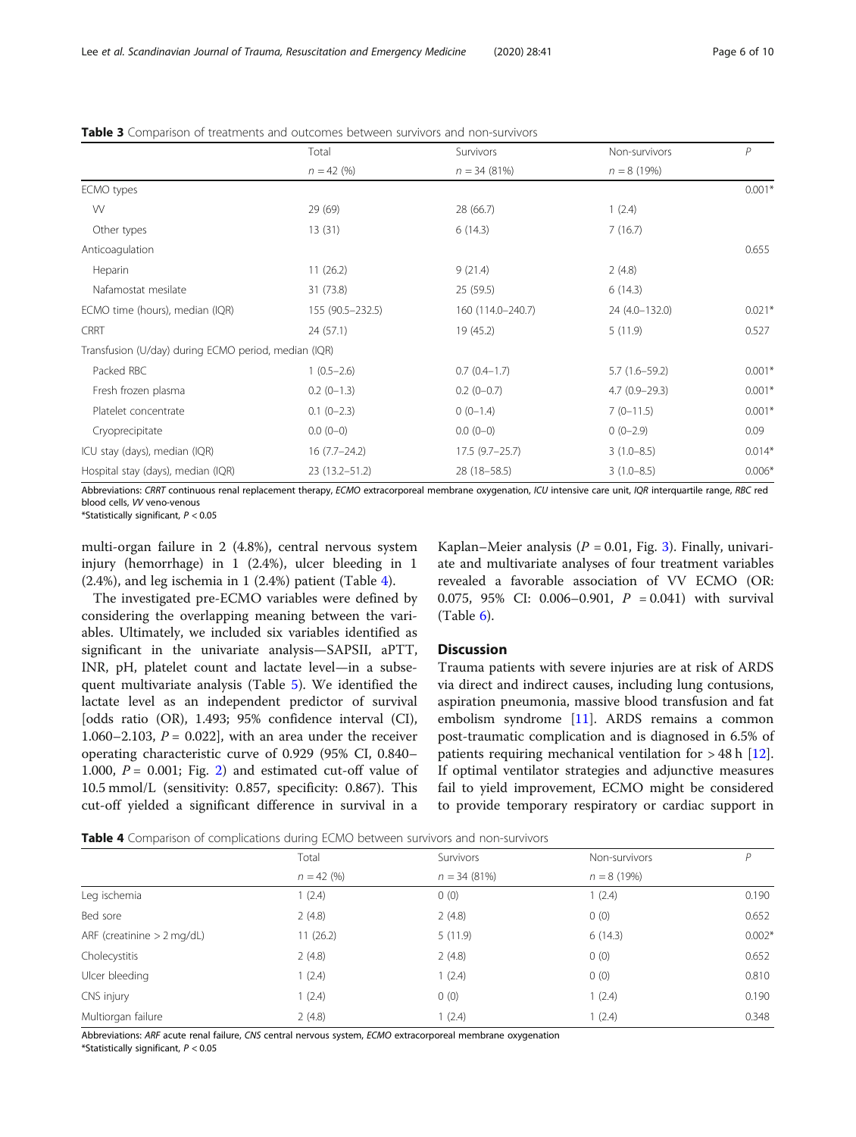|                                                      | Total             | Survivors         | Non-survivors     | $\mathsf{P}$ |
|------------------------------------------------------|-------------------|-------------------|-------------------|--------------|
|                                                      | $n = 42$ (%)      | $n = 34(81%)$     | $n = 8(19%)$      |              |
| ECMO types                                           |                   |                   |                   | $0.001*$     |
| W                                                    | 29 (69)           | 28 (66.7)         | 1(2.4)            |              |
| Other types                                          | 13(31)            | 6(14.3)           | 7(16.7)           |              |
| Anticoagulation                                      |                   |                   |                   | 0.655        |
| Heparin                                              | 11(26.2)          | 9(21.4)           | 2(4.8)            |              |
| Nafamostat mesilate                                  | 31 (73.8)         | 25(59.5)          | 6(14.3)           |              |
| ECMO time (hours), median (IQR)                      | 155 (90.5-232.5)  | 160 (114.0-240.7) | 24 (4.0-132.0)    | $0.021*$     |
| CRRT                                                 | 24(57.1)          | 19 (45.2)         | 5(11.9)           | 0.527        |
| Transfusion (U/day) during ECMO period, median (IQR) |                   |                   |                   |              |
| Packed RBC                                           | $1(0.5-2.6)$      | $0.7(0.4-1.7)$    | $5.7(1.6 - 59.2)$ | $0.001*$     |
| Fresh frozen plasma                                  | $0.2$ (0-1.3)     | $0.2(0-0.7)$      | $4.7(0.9 - 29.3)$ | $0.001*$     |
| Platelet concentrate                                 | $0.1$ (0-2.3)     | $0(0-1.4)$        | $7(0-11.5)$       | $0.001*$     |
| Cryoprecipitate                                      | $0.0(0-0)$        | $0.0(0-0)$        | $0(0-2.9)$        | 0.09         |
| ICU stay (days), median (IQR)                        | $16(7.7-24.2)$    | $17.5(9.7-25.7)$  | $3(1.0 - 8.5)$    | $0.014*$     |
| Hospital stay (days), median (IQR)                   | $23(13.2 - 51.2)$ | 28 (18 - 58.5)    | $3(1.0 - 8.5)$    | $0.006*$     |

<span id="page-5-0"></span>Table 3 Comparison of treatments and outcomes between survivors and non-survivors

Abbreviations: CRRT continuous renal replacement therapy, ECMO extracorporeal membrane oxygenation, ICU intensive care unit, IQR interquartile range, RBC red blood cells, VV veno-venous

\*Statistically significant,  $P < 0.05$ 

multi-organ failure in 2 (4.8%), central nervous system injury (hemorrhage) in 1 (2.4%), ulcer bleeding in 1 (2.4%), and leg ischemia in 1 (2.4%) patient (Table 4).

The investigated pre-ECMO variables were defined by considering the overlapping meaning between the variables. Ultimately, we included six variables identified as significant in the univariate analysis—SAPSII, aPTT, INR, pH, platelet count and lactate level—in a subsequent multivariate analysis (Table [5\)](#page-6-0). We identified the lactate level as an independent predictor of survival [odds ratio (OR), 1.493; 95% confidence interval (CI), 1.060–2.103,  $P = 0.022$ , with an area under the receiver operating characteristic curve of 0.929 (95% CI, 0.840– 1.000,  $P = 0.001$ ; Fig. [2\)](#page-6-0) and estimated cut-off value of 10.5 mmol/L (sensitivity: 0.857, specificity: 0.867). This cut-off yielded a significant difference in survival in a

Kaplan–Meier analysis ( $P = 0.01$ , Fig. [3\)](#page-7-0). Finally, univariate and multivariate analyses of four treatment variables revealed a favorable association of VV ECMO (OR: 0.075, 95% CI: 0.006-0.901,  $P = 0.041$ ) with survival (Table [6\)](#page-7-0).

## Discussion

Trauma patients with severe injuries are at risk of ARDS via direct and indirect causes, including lung contusions, aspiration pneumonia, massive blood transfusion and fat embolism syndrome [\[11](#page-9-0)]. ARDS remains a common post-traumatic complication and is diagnosed in 6.5% of patients requiring mechanical ventilation for  $>$  48 h [\[12](#page-9-0)]. If optimal ventilator strategies and adjunctive measures fail to yield improvement, ECMO might be considered to provide temporary respiratory or cardiac support in

**Table 4** Comparison of complications during ECMO between survivors and non-survivors

|                              | Total        | Survivors     | Non-survivors | P        |
|------------------------------|--------------|---------------|---------------|----------|
|                              | $n = 42$ (%) | $n = 34(81%)$ | $n = 8(19%)$  |          |
| Leg ischemia                 | 1(2.4)       | 0(0)          | 1(2.4)        | 0.190    |
| Bed sore                     | 2(4.8)       | 2(4.8)        | 0(0)          | 0.652    |
| ARF (creatinine $> 2$ mg/dL) | 11(26.2)     | 5(11.9)       | 6(14.3)       | $0.002*$ |
| Cholecystitis                | 2(4.8)       | 2(4.8)        | 0(0)          | 0.652    |
| Ulcer bleeding               | 1(2.4)       | 1(2.4)        | 0(0)          | 0.810    |
| CNS injury                   | 1(2.4)       | 0(0)          | 1(2.4)        | 0.190    |
| Multiorgan failure           | 2(4.8)       | 1(2.4)        | 1(2.4)        | 0.348    |
|                              |              |               |               |          |

Abbreviations: ARF acute renal failure, CNS central nervous system, ECMO extracorporeal membrane oxygenation

\*Statistically significant,  $P < 0.05$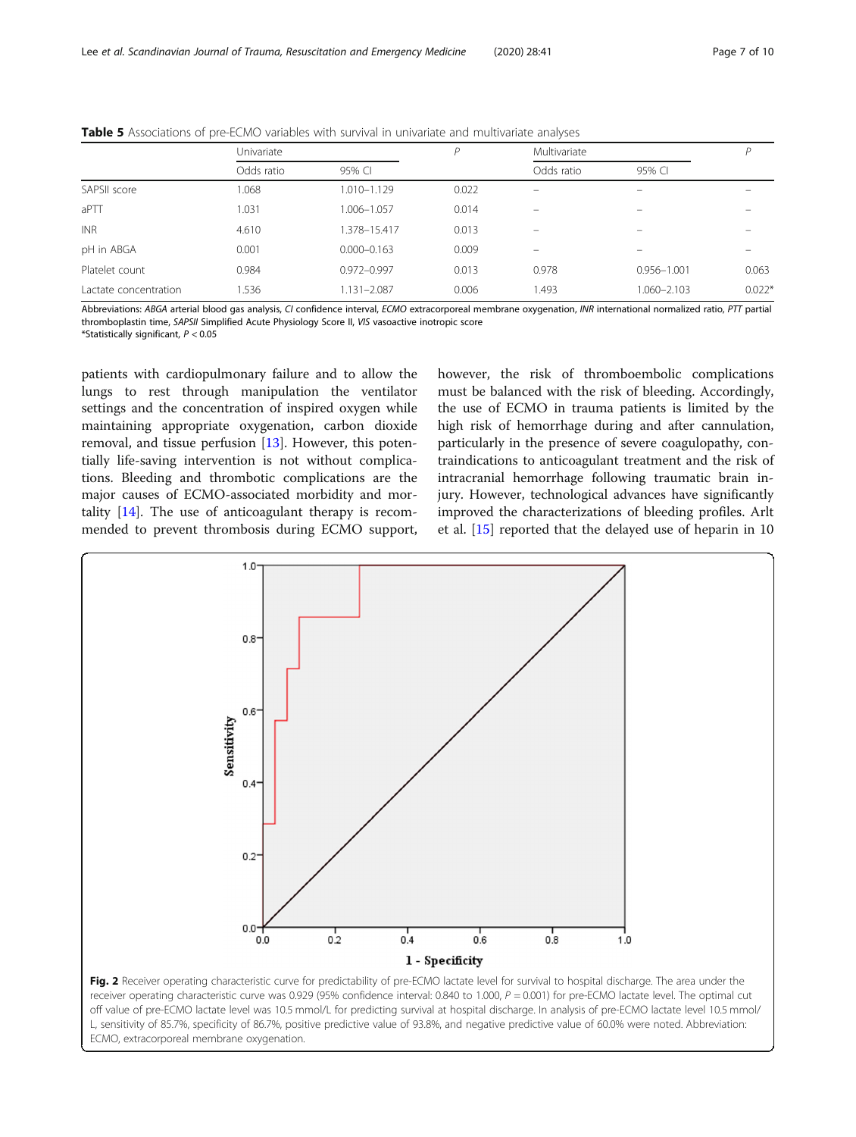|                       | Univariate |                 | P     | Multivariate |                          |          |
|-----------------------|------------|-----------------|-------|--------------|--------------------------|----------|
|                       | Odds ratio | 95% CI          |       | Odds ratio   | 95% CI                   |          |
| SAPSII score          | 1.068      | 1.010-1.129     | 0.022 | -            | $\overline{\phantom{0}}$ |          |
| aPTT                  | 1.031      | 1.006-1.057     | 0.014 | -            | -                        |          |
| <b>INR</b>            | 4.610      | 1.378-15.417    | 0.013 |              |                          |          |
| pH in ABGA            | 0.001      | $0.000 - 0.163$ | 0.009 | -            |                          |          |
| Platelet count        | 0.984      | 0.972-0.997     | 0.013 | 0.978        | $0.956 - 1.001$          | 0.063    |
| Lactate concentration | 1.536      | 1.131-2.087     | 0.006 | 1.493        | 1.060-2.103              | $0.022*$ |

<span id="page-6-0"></span>Table 5 Associations of pre-ECMO variables with survival in univariate and multivariate analyses

Abbreviations: ABGA arterial blood gas analysis, CI confidence interval, ECMO extracorporeal membrane oxygenation, INR international normalized ratio, PTT partial thromboplastin time, SAPSII Simplified Acute Physiology Score II, VIS vasoactive inotropic score

\*Statistically significant,  $P < 0.05$ 

patients with cardiopulmonary failure and to allow the lungs to rest through manipulation the ventilator settings and the concentration of inspired oxygen while maintaining appropriate oxygenation, carbon dioxide removal, and tissue perfusion [[13\]](#page-9-0). However, this potentially life-saving intervention is not without complications. Bleeding and thrombotic complications are the major causes of ECMO-associated morbidity and mortality [[14](#page-9-0)]. The use of anticoagulant therapy is recommended to prevent thrombosis during ECMO support, however, the risk of thromboembolic complications must be balanced with the risk of bleeding. Accordingly, the use of ECMO in trauma patients is limited by the high risk of hemorrhage during and after cannulation, particularly in the presence of severe coagulopathy, contraindications to anticoagulant treatment and the risk of intracranial hemorrhage following traumatic brain injury. However, technological advances have significantly improved the characterizations of bleeding profiles. Arlt et al. [\[15](#page-9-0)] reported that the delayed use of heparin in 10



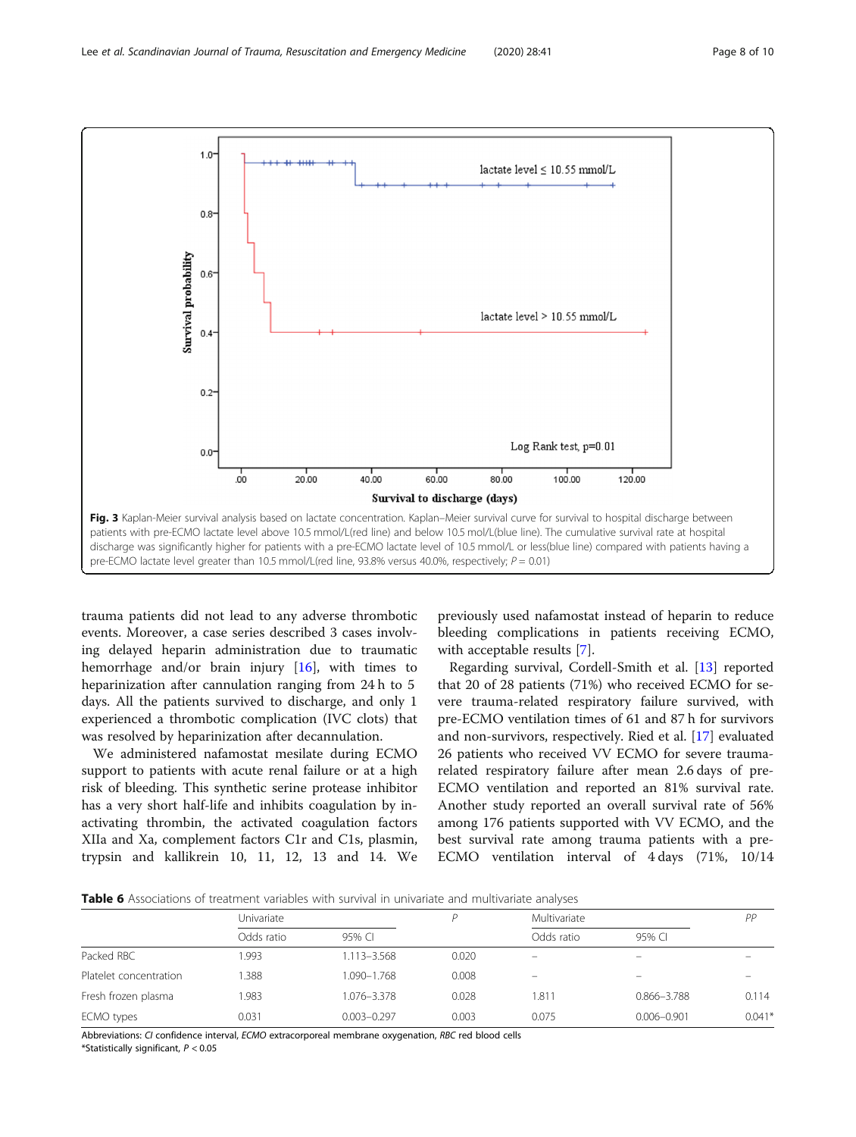<span id="page-7-0"></span>

trauma patients did not lead to any adverse thrombotic events. Moreover, a case series described 3 cases involving delayed heparin administration due to traumatic hemorrhage and/or brain injury  $[16]$  $[16]$  $[16]$ , with times to heparinization after cannulation ranging from 24 h to 5 days. All the patients survived to discharge, and only 1 experienced a thrombotic complication (IVC clots) that was resolved by heparinization after decannulation.

We administered nafamostat mesilate during ECMO support to patients with acute renal failure or at a high risk of bleeding. This synthetic serine protease inhibitor has a very short half-life and inhibits coagulation by inactivating thrombin, the activated coagulation factors XIIa and Xa, complement factors C1r and C1s, plasmin, trypsin and kallikrein 10, 11, 12, 13 and 14. We

previously used nafamostat instead of heparin to reduce bleeding complications in patients receiving ECMO, with acceptable results [[7\]](#page-9-0).

Regarding survival, Cordell-Smith et al. [\[13](#page-9-0)] reported that 20 of 28 patients (71%) who received ECMO for severe trauma-related respiratory failure survived, with pre-ECMO ventilation times of 61 and 87 h for survivors and non-survivors, respectively. Ried et al. [\[17](#page-9-0)] evaluated 26 patients who received VV ECMO for severe traumarelated respiratory failure after mean 2.6 days of pre-ECMO ventilation and reported an 81% survival rate. Another study reported an overall survival rate of 56% among 176 patients supported with VV ECMO, and the best survival rate among trauma patients with a pre-ECMO ventilation interval of 4 days (71%, 10/14

**Table 6** Associations of treatment variables with survival in univariate and multivariate analyses

|                        | Univariate |                 |       | Multivariate |                 | PP       |
|------------------------|------------|-----------------|-------|--------------|-----------------|----------|
|                        | Odds ratio | 95% CI          |       | Odds ratio   | 95% CI          |          |
| Packed RBC             | .993       | 1.113-3.568     | 0.020 |              |                 |          |
| Platelet concentration | .388       | 1.090-1.768     | 0.008 | -            | $\equiv$        |          |
| Fresh frozen plasma    | 1.983      | 1.076-3.378     | 0.028 | 1.811        | 0.866-3.788     | 0.114    |
| ECMO types             | 0.031      | $0.003 - 0.297$ | 0.003 | 0.075        | $0.006 - 0.901$ | $0.041*$ |
|                        |            |                 |       |              |                 |          |

Abbreviations: CI confidence interval, ECMO extracorporeal membrane oxygenation, RBC red blood cells \*Statistically significant,  $P < 0.05$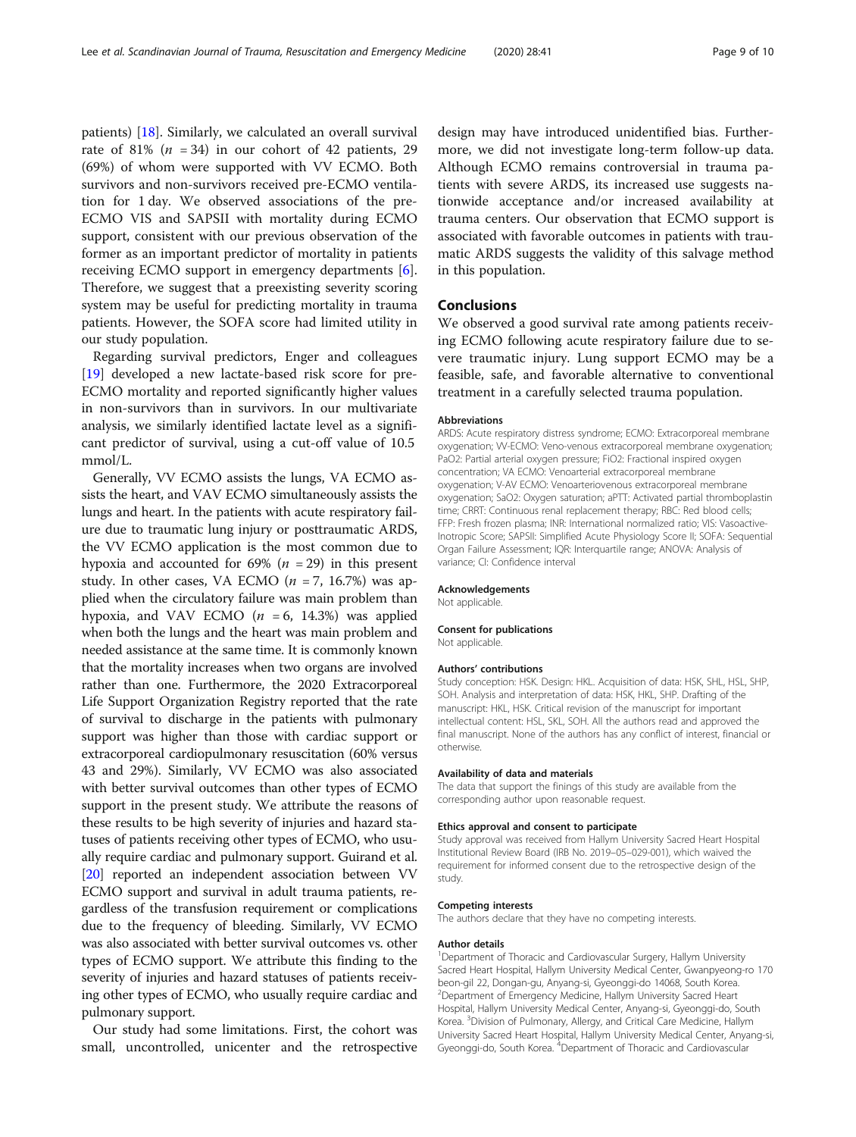patients) [\[18](#page-9-0)]. Similarly, we calculated an overall survival rate of 81%  $(n = 34)$  in our cohort of 42 patients, 29 (69%) of whom were supported with VV ECMO. Both survivors and non-survivors received pre-ECMO ventilation for 1 day. We observed associations of the pre-ECMO VIS and SAPSII with mortality during ECMO support, consistent with our previous observation of the former as an important predictor of mortality in patients receiving ECMO support in emergency departments [\[6](#page-9-0)]. Therefore, we suggest that a preexisting severity scoring system may be useful for predicting mortality in trauma patients. However, the SOFA score had limited utility in our study population.

Regarding survival predictors, Enger and colleagues [[19\]](#page-9-0) developed a new lactate-based risk score for pre-ECMO mortality and reported significantly higher values in non-survivors than in survivors. In our multivariate analysis, we similarly identified lactate level as a significant predictor of survival, using a cut-off value of 10.5 mmol/L.

Generally, VV ECMO assists the lungs, VA ECMO assists the heart, and VAV ECMO simultaneously assists the lungs and heart. In the patients with acute respiratory failure due to traumatic lung injury or posttraumatic ARDS, the VV ECMO application is the most common due to hypoxia and accounted for 69% ( $n = 29$ ) in this present study. In other cases, VA ECMO  $(n = 7, 16.7%)$  was applied when the circulatory failure was main problem than hypoxia, and VAV ECMO  $(n = 6, 14.3%)$  was applied when both the lungs and the heart was main problem and needed assistance at the same time. It is commonly known that the mortality increases when two organs are involved rather than one. Furthermore, the 2020 Extracorporeal Life Support Organization Registry reported that the rate of survival to discharge in the patients with pulmonary support was higher than those with cardiac support or extracorporeal cardiopulmonary resuscitation (60% versus 43 and 29%). Similarly, VV ECMO was also associated with better survival outcomes than other types of ECMO support in the present study. We attribute the reasons of these results to be high severity of injuries and hazard statuses of patients receiving other types of ECMO, who usually require cardiac and pulmonary support. Guirand et al. [[20](#page-9-0)] reported an independent association between VV ECMO support and survival in adult trauma patients, regardless of the transfusion requirement or complications due to the frequency of bleeding. Similarly, VV ECMO was also associated with better survival outcomes vs. other types of ECMO support. We attribute this finding to the severity of injuries and hazard statuses of patients receiving other types of ECMO, who usually require cardiac and pulmonary support.

Our study had some limitations. First, the cohort was small, uncontrolled, unicenter and the retrospective

design may have introduced unidentified bias. Furthermore, we did not investigate long-term follow-up data. Although ECMO remains controversial in trauma patients with severe ARDS, its increased use suggests nationwide acceptance and/or increased availability at trauma centers. Our observation that ECMO support is associated with favorable outcomes in patients with traumatic ARDS suggests the validity of this salvage method in this population.

## Conclusions

We observed a good survival rate among patients receiving ECMO following acute respiratory failure due to severe traumatic injury. Lung support ECMO may be a feasible, safe, and favorable alternative to conventional treatment in a carefully selected trauma population.

#### Abbreviations

ARDS: Acute respiratory distress syndrome; ECMO: Extracorporeal membrane oxygenation; VV-ECMO: Veno-venous extracorporeal membrane oxygenation; PaO2: Partial arterial oxygen pressure; FiO2: Fractional inspired oxygen concentration; VA ECMO: Venoarterial extracorporeal membrane oxygenation; V-AV ECMO: Venoarteriovenous extracorporeal membrane oxygenation; SaO2: Oxygen saturation; aPTT: Activated partial thromboplastin time; CRRT: Continuous renal replacement therapy; RBC: Red blood cells; FFP: Fresh frozen plasma; INR: International normalized ratio; VIS: Vasoactive-Inotropic Score; SAPSII: Simplified Acute Physiology Score II; SOFA: Sequential Organ Failure Assessment; IQR: Interquartile range; ANOVA: Analysis of variance; CI: Confidence interval

#### Acknowledgements

Not applicable.

#### Consent for publications

Not applicable.

#### Authors' contributions

Study conception: HSK. Design: HKL. Acquisition of data: HSK, SHL, HSL, SHP, SOH. Analysis and interpretation of data: HSK, HKL, SHP. Drafting of the manuscript: HKL, HSK. Critical revision of the manuscript for important intellectual content: HSL, SKL, SOH. All the authors read and approved the final manuscript. None of the authors has any conflict of interest, financial or otherwise.

#### Availability of data and materials

The data that support the finings of this study are available from the corresponding author upon reasonable request.

#### Ethics approval and consent to participate

Study approval was received from Hallym University Sacred Heart Hospital Institutional Review Board (IRB No. 2019–05–029-001), which waived the requirement for informed consent due to the retrospective design of the study.

#### Competing interests

The authors declare that they have no competing interests.

#### Author details

<sup>1</sup>Department of Thoracic and Cardiovascular Surgery, Hallym University Sacred Heart Hospital, Hallym University Medical Center, Gwanpyeong-ro 170 beon-gil 22, Dongan-gu, Anyang-si, Gyeonggi-do 14068, South Korea. 2 Department of Emergency Medicine, Hallym University Sacred Heart Hospital, Hallym University Medical Center, Anyang-si, Gyeonggi-do, South Korea. <sup>3</sup> Division of Pulmonary, Allergy, and Critical Care Medicine, Hallym University Sacred Heart Hospital, Hallym University Medical Center, Anyang-si, Gyeonggi-do, South Korea. <sup>4</sup>Department of Thoracic and Cardiovascular